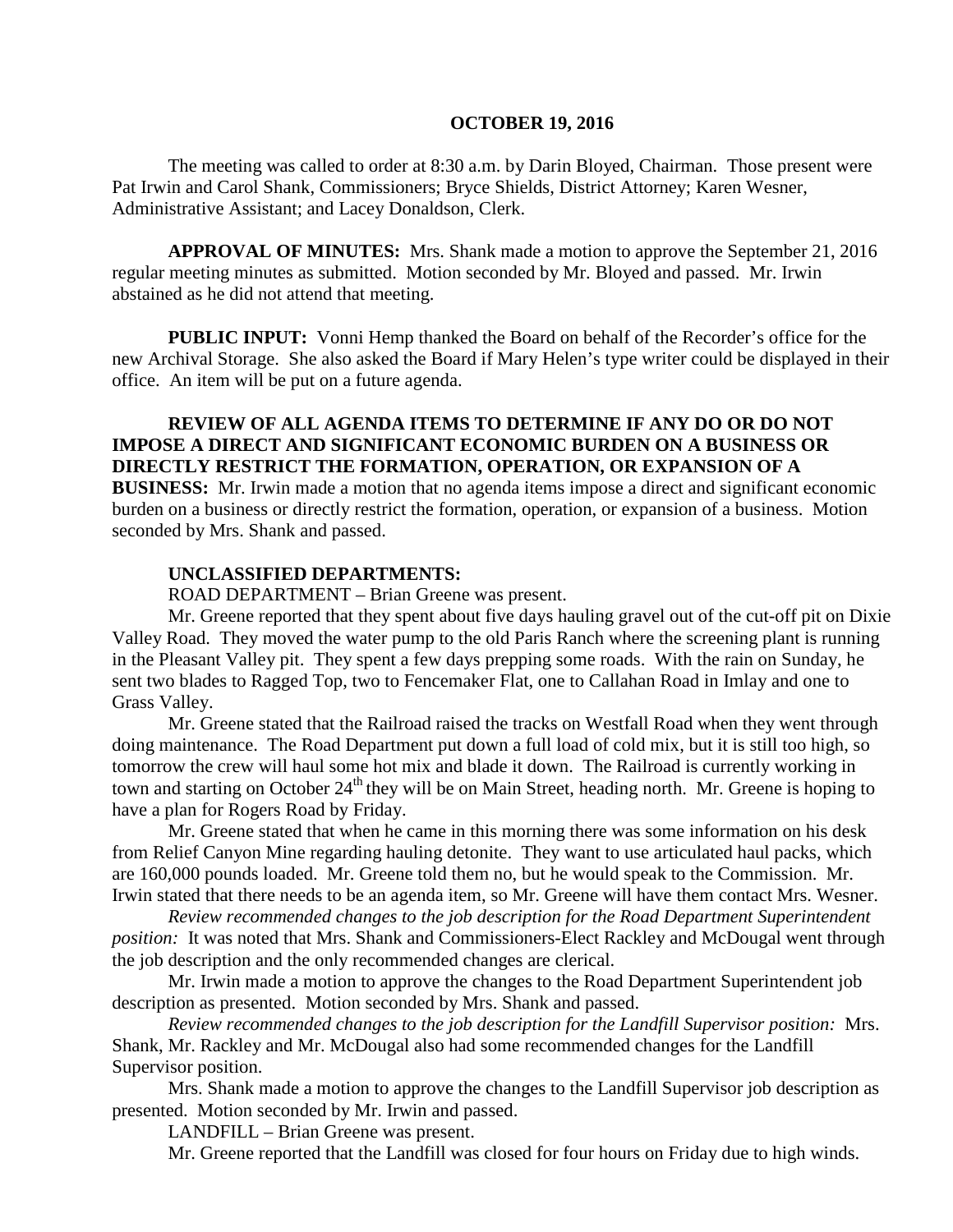#### **OCTOBER 19, 2016**

The meeting was called to order at 8:30 a.m. by Darin Bloyed, Chairman. Those present were Pat Irwin and Carol Shank, Commissioners; Bryce Shields, District Attorney; Karen Wesner, Administrative Assistant; and Lacey Donaldson, Clerk.

**APPROVAL OF MINUTES:** Mrs. Shank made a motion to approve the September 21, 2016 regular meeting minutes as submitted. Motion seconded by Mr. Bloyed and passed. Mr. Irwin abstained as he did not attend that meeting.

 **PUBLIC INPUT:** Vonni Hemp thanked the Board on behalf of the Recorder's office for the new Archival Storage. She also asked the Board if Mary Helen's type writer could be displayed in their office. An item will be put on a future agenda.

## **REVIEW OF ALL AGENDA ITEMS TO DETERMINE IF ANY DO OR DO NOT IMPOSE A DIRECT AND SIGNIFICANT ECONOMIC BURDEN ON A BUSINESS OR DIRECTLY RESTRICT THE FORMATION, OPERATION, OR EXPANSION OF A**

**BUSINESS:** Mr. Irwin made a motion that no agenda items impose a direct and significant economic burden on a business or directly restrict the formation, operation, or expansion of a business. Motion seconded by Mrs. Shank and passed.

#### **UNCLASSIFIED DEPARTMENTS:**

ROAD DEPARTMENT – Brian Greene was present.

Mr. Greene reported that they spent about five days hauling gravel out of the cut-off pit on Dixie Valley Road. They moved the water pump to the old Paris Ranch where the screening plant is running in the Pleasant Valley pit. They spent a few days prepping some roads. With the rain on Sunday, he sent two blades to Ragged Top, two to Fencemaker Flat, one to Callahan Road in Imlay and one to Grass Valley.

Mr. Greene stated that the Railroad raised the tracks on Westfall Road when they went through doing maintenance. The Road Department put down a full load of cold mix, but it is still too high, so tomorrow the crew will haul some hot mix and blade it down. The Railroad is currently working in town and starting on October 24<sup>th</sup> they will be on Main Street, heading north. Mr. Greene is hoping to have a plan for Rogers Road by Friday.

Mr. Greene stated that when he came in this morning there was some information on his desk from Relief Canyon Mine regarding hauling detonite. They want to use articulated haul packs, which are 160,000 pounds loaded. Mr. Greene told them no, but he would speak to the Commission. Mr. Irwin stated that there needs to be an agenda item, so Mr. Greene will have them contact Mrs. Wesner.

*Review recommended changes to the job description for the Road Department Superintendent position:* It was noted that Mrs. Shank and Commissioners-Elect Rackley and McDougal went through the job description and the only recommended changes are clerical.

Mr. Irwin made a motion to approve the changes to the Road Department Superintendent job description as presented. Motion seconded by Mrs. Shank and passed.

*Review recommended changes to the job description for the Landfill Supervisor position:* Mrs. Shank, Mr. Rackley and Mr. McDougal also had some recommended changes for the Landfill Supervisor position.

Mrs. Shank made a motion to approve the changes to the Landfill Supervisor job description as presented. Motion seconded by Mr. Irwin and passed.

LANDFILL – Brian Greene was present.

Mr. Greene reported that the Landfill was closed for four hours on Friday due to high winds.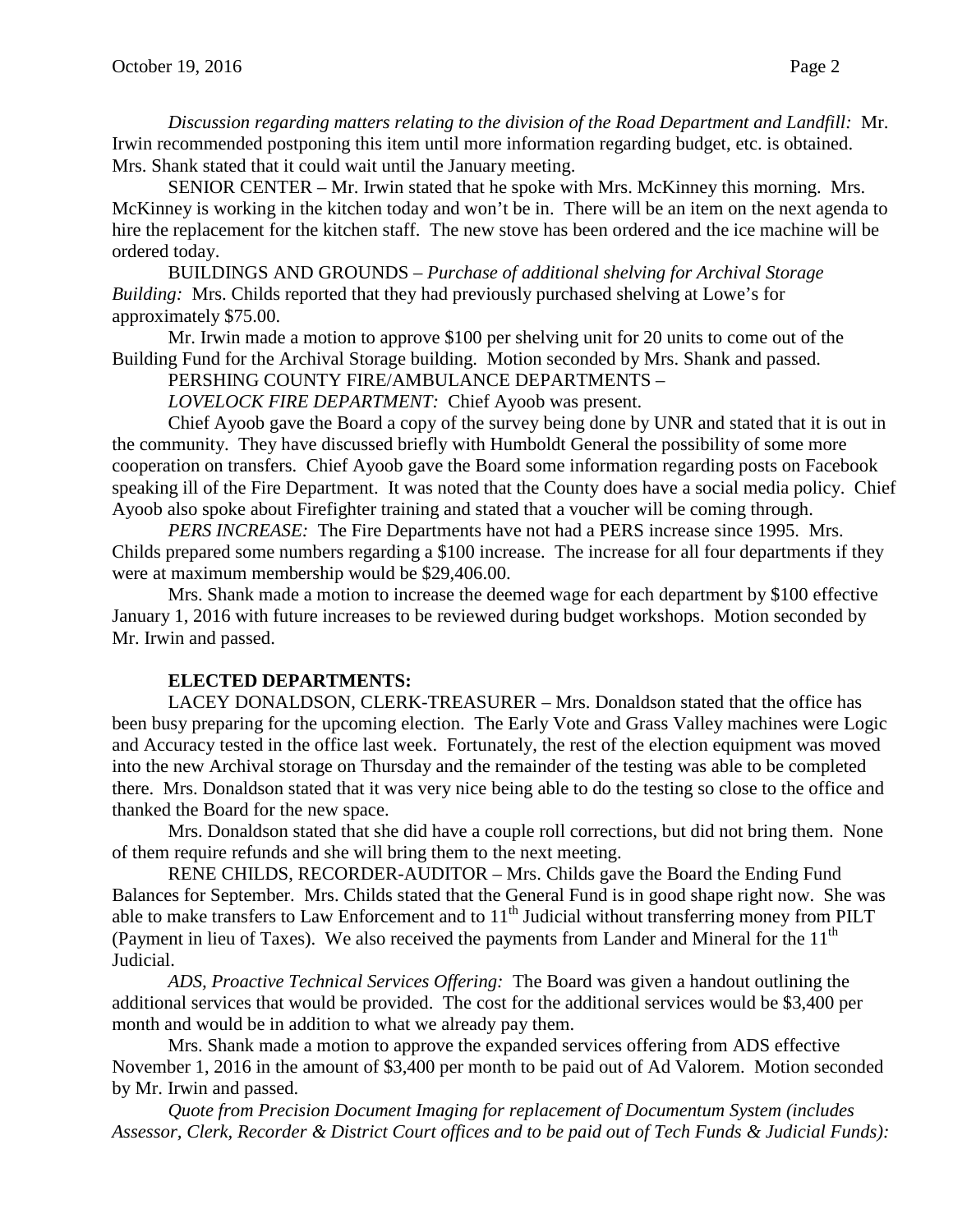*Discussion regarding matters relating to the division of the Road Department and Landfill:* Mr. Irwin recommended postponing this item until more information regarding budget, etc. is obtained. Mrs. Shank stated that it could wait until the January meeting.

SENIOR CENTER – Mr. Irwin stated that he spoke with Mrs. McKinney this morning. Mrs. McKinney is working in the kitchen today and won't be in. There will be an item on the next agenda to hire the replacement for the kitchen staff. The new stove has been ordered and the ice machine will be ordered today.

BUILDINGS AND GROUNDS – *Purchase of additional shelving for Archival Storage Building:* Mrs. Childs reported that they had previously purchased shelving at Lowe's for approximately \$75.00.

Mr. Irwin made a motion to approve \$100 per shelving unit for 20 units to come out of the Building Fund for the Archival Storage building. Motion seconded by Mrs. Shank and passed.

PERSHING COUNTY FIRE/AMBULANCE DEPARTMENTS –

*LOVELOCK FIRE DEPARTMENT:* Chief Ayoob was present.

Chief Ayoob gave the Board a copy of the survey being done by UNR and stated that it is out in the community. They have discussed briefly with Humboldt General the possibility of some more cooperation on transfers. Chief Ayoob gave the Board some information regarding posts on Facebook speaking ill of the Fire Department. It was noted that the County does have a social media policy. Chief Ayoob also spoke about Firefighter training and stated that a voucher will be coming through.

*PERS INCREASE:* The Fire Departments have not had a PERS increase since 1995. Mrs. Childs prepared some numbers regarding a \$100 increase. The increase for all four departments if they were at maximum membership would be \$29,406.00.

Mrs. Shank made a motion to increase the deemed wage for each department by \$100 effective January 1, 2016 with future increases to be reviewed during budget workshops. Motion seconded by Mr. Irwin and passed.

### **ELECTED DEPARTMENTS:**

LACEY DONALDSON, CLERK-TREASURER – Mrs. Donaldson stated that the office has been busy preparing for the upcoming election. The Early Vote and Grass Valley machines were Logic and Accuracy tested in the office last week. Fortunately, the rest of the election equipment was moved into the new Archival storage on Thursday and the remainder of the testing was able to be completed there. Mrs. Donaldson stated that it was very nice being able to do the testing so close to the office and thanked the Board for the new space.

Mrs. Donaldson stated that she did have a couple roll corrections, but did not bring them. None of them require refunds and she will bring them to the next meeting.

RENE CHILDS, RECORDER-AUDITOR – Mrs. Childs gave the Board the Ending Fund Balances for September. Mrs. Childs stated that the General Fund is in good shape right now. She was able to make transfers to Law Enforcement and to  $11<sup>th</sup>$  Judicial without transferring money from PILT (Payment in lieu of Taxes). We also received the payments from Lander and Mineral for the  $11<sup>th</sup>$ Judicial.

*ADS, Proactive Technical Services Offering:* The Board was given a handout outlining the additional services that would be provided. The cost for the additional services would be \$3,400 per month and would be in addition to what we already pay them.

Mrs. Shank made a motion to approve the expanded services offering from ADS effective November 1, 2016 in the amount of \$3,400 per month to be paid out of Ad Valorem. Motion seconded by Mr. Irwin and passed.

*Quote from Precision Document Imaging for replacement of Documentum System (includes Assessor, Clerk, Recorder & District Court offices and to be paid out of Tech Funds & Judicial Funds):*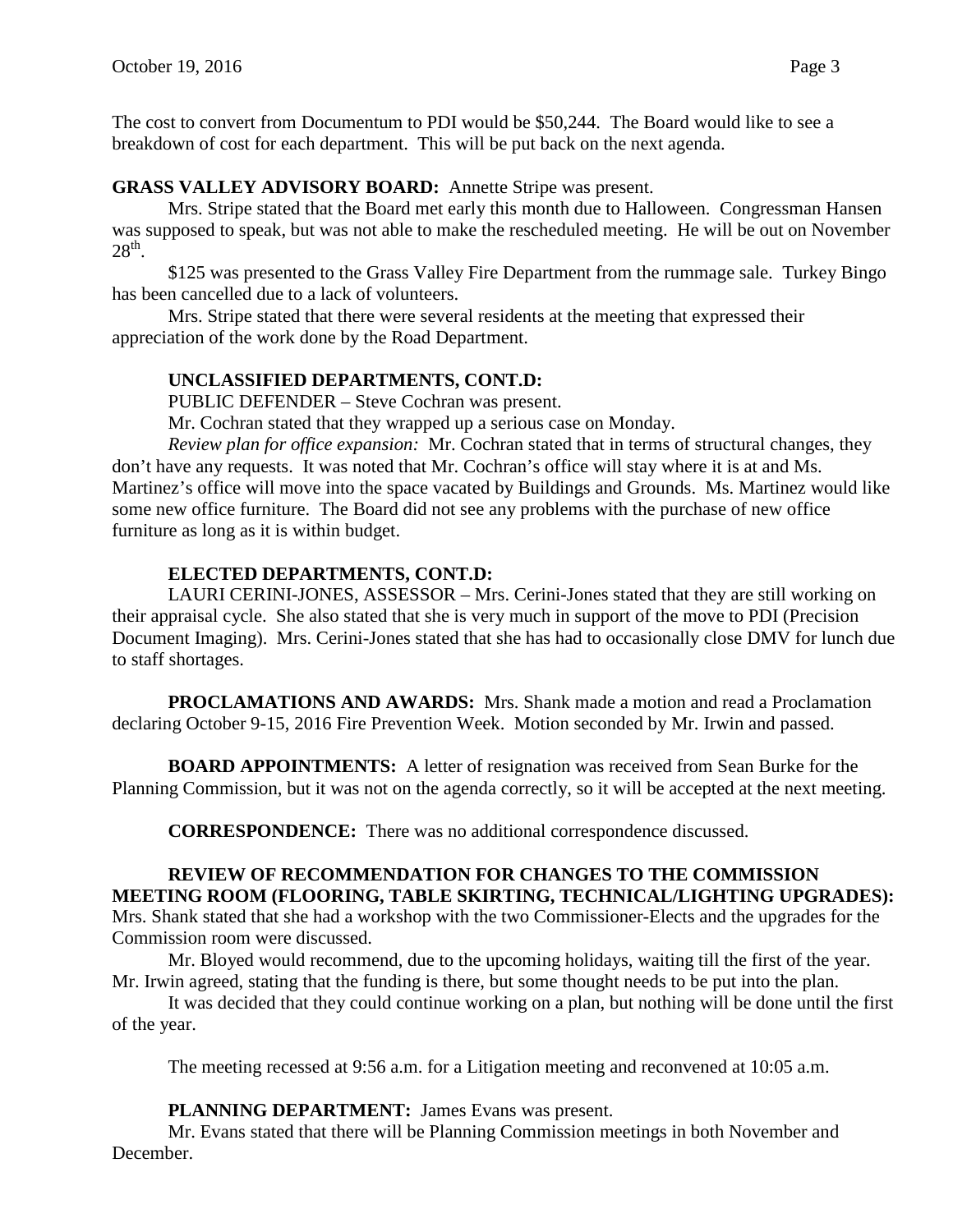The cost to convert from Documentum to PDI would be \$50,244. The Board would like to see a breakdown of cost for each department. This will be put back on the next agenda.

## **GRASS VALLEY ADVISORY BOARD:** Annette Stripe was present.

Mrs. Stripe stated that the Board met early this month due to Halloween. Congressman Hansen was supposed to speak, but was not able to make the rescheduled meeting. He will be out on November  $28<sup>th</sup>$ .

\$125 was presented to the Grass Valley Fire Department from the rummage sale. Turkey Bingo has been cancelled due to a lack of volunteers.

Mrs. Stripe stated that there were several residents at the meeting that expressed their appreciation of the work done by the Road Department.

## **UNCLASSIFIED DEPARTMENTS, CONT.D:**

PUBLIC DEFENDER – Steve Cochran was present.

Mr. Cochran stated that they wrapped up a serious case on Monday.

*Review plan for office expansion:* Mr. Cochran stated that in terms of structural changes, they don't have any requests. It was noted that Mr. Cochran's office will stay where it is at and Ms. Martinez's office will move into the space vacated by Buildings and Grounds. Ms. Martinez would like some new office furniture. The Board did not see any problems with the purchase of new office furniture as long as it is within budget.

## **ELECTED DEPARTMENTS, CONT.D:**

LAURI CERINI-JONES, ASSESSOR – Mrs. Cerini-Jones stated that they are still working on their appraisal cycle. She also stated that she is very much in support of the move to PDI (Precision Document Imaging). Mrs. Cerini-Jones stated that she has had to occasionally close DMV for lunch due to staff shortages.

**PROCLAMATIONS AND AWARDS:** Mrs. Shank made a motion and read a Proclamation declaring October 9-15, 2016 Fire Prevention Week. Motion seconded by Mr. Irwin and passed.

**BOARD APPOINTMENTS:** A letter of resignation was received from Sean Burke for the Planning Commission, but it was not on the agenda correctly, so it will be accepted at the next meeting.

**CORRESPONDENCE:** There was no additional correspondence discussed.

### **REVIEW OF RECOMMENDATION FOR CHANGES TO THE COMMISSION MEETING ROOM (FLOORING, TABLE SKIRTING, TECHNICAL/LIGHTING UPGRADES):**

Mrs. Shank stated that she had a workshop with the two Commissioner-Elects and the upgrades for the Commission room were discussed.

Mr. Bloyed would recommend, due to the upcoming holidays, waiting till the first of the year. Mr. Irwin agreed, stating that the funding is there, but some thought needs to be put into the plan.

It was decided that they could continue working on a plan, but nothing will be done until the first of the year.

The meeting recessed at 9:56 a.m. for a Litigation meeting and reconvened at 10:05 a.m.

**PLANNING DEPARTMENT:** James Evans was present.

Mr. Evans stated that there will be Planning Commission meetings in both November and December.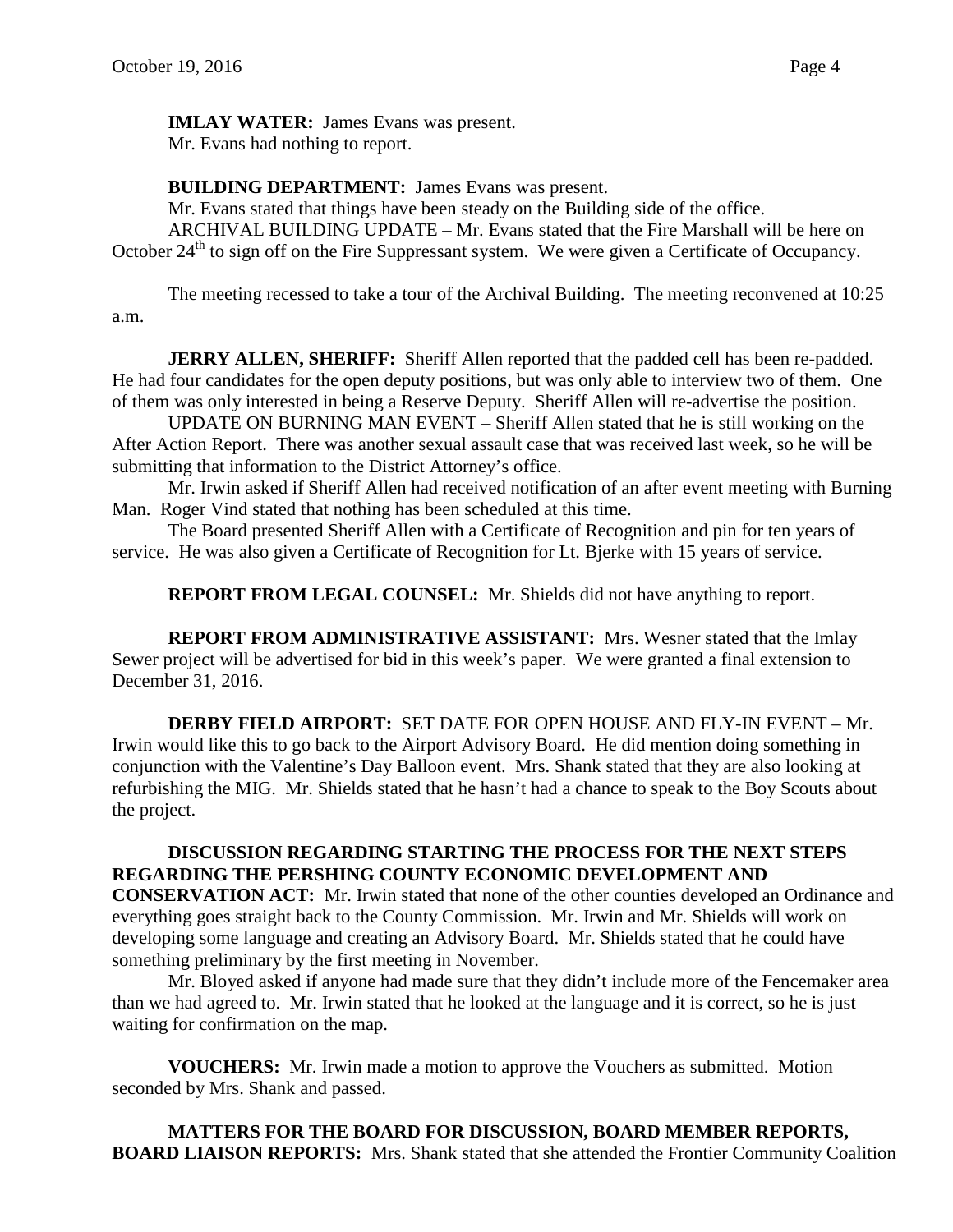**IMLAY WATER:** James Evans was present. Mr. Evans had nothing to report.

**BUILDING DEPARTMENT:** James Evans was present.

Mr. Evans stated that things have been steady on the Building side of the office.

ARCHIVAL BUILDING UPDATE – Mr. Evans stated that the Fire Marshall will be here on October 24<sup>th</sup> to sign off on the Fire Suppressant system. We were given a Certificate of Occupancy.

The meeting recessed to take a tour of the Archival Building. The meeting reconvened at 10:25 a.m.

**JERRY ALLEN, SHERIFF:** Sheriff Allen reported that the padded cell has been re-padded. He had four candidates for the open deputy positions, but was only able to interview two of them. One of them was only interested in being a Reserve Deputy. Sheriff Allen will re-advertise the position.

UPDATE ON BURNING MAN EVENT – Sheriff Allen stated that he is still working on the After Action Report. There was another sexual assault case that was received last week, so he will be submitting that information to the District Attorney's office.

Mr. Irwin asked if Sheriff Allen had received notification of an after event meeting with Burning Man. Roger Vind stated that nothing has been scheduled at this time.

The Board presented Sheriff Allen with a Certificate of Recognition and pin for ten years of service. He was also given a Certificate of Recognition for Lt. Bjerke with 15 years of service.

**REPORT FROM LEGAL COUNSEL:** Mr. Shields did not have anything to report.

**REPORT FROM ADMINISTRATIVE ASSISTANT:** Mrs. Wesner stated that the Imlay Sewer project will be advertised for bid in this week's paper. We were granted a final extension to December 31, 2016.

**DERBY FIELD AIRPORT:** SET DATE FOR OPEN HOUSE AND FLY-IN EVENT – Mr. Irwin would like this to go back to the Airport Advisory Board. He did mention doing something in conjunction with the Valentine's Day Balloon event. Mrs. Shank stated that they are also looking at refurbishing the MIG. Mr. Shields stated that he hasn't had a chance to speak to the Boy Scouts about the project.

# **DISCUSSION REGARDING STARTING THE PROCESS FOR THE NEXT STEPS REGARDING THE PERSHING COUNTY ECONOMIC DEVELOPMENT AND**

**CONSERVATION ACT:** Mr. Irwin stated that none of the other counties developed an Ordinance and everything goes straight back to the County Commission. Mr. Irwin and Mr. Shields will work on developing some language and creating an Advisory Board. Mr. Shields stated that he could have something preliminary by the first meeting in November.

Mr. Bloyed asked if anyone had made sure that they didn't include more of the Fencemaker area than we had agreed to. Mr. Irwin stated that he looked at the language and it is correct, so he is just waiting for confirmation on the map.

**VOUCHERS:** Mr. Irwin made a motion to approve the Vouchers as submitted. Motion seconded by Mrs. Shank and passed.

**MATTERS FOR THE BOARD FOR DISCUSSION, BOARD MEMBER REPORTS, BOARD LIAISON REPORTS:** Mrs. Shank stated that she attended the Frontier Community Coalition